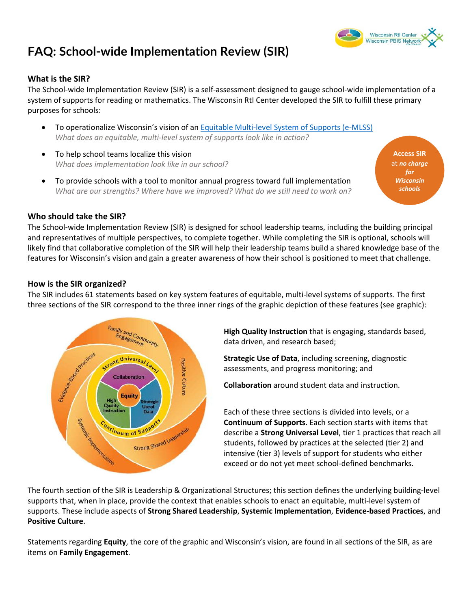# **FAQ: School-wide Implementation Review (SIR)**

#### **What is the SIR?**

The School-wide Implementation Review (SIR) is a self-assessment designed to gauge school-wide implementation of a system of supports for reading or mathematics. The Wisconsin RtI Center developed the SIR to fulfill these primary purposes for schools:

- To operationalize Wisconsin's vision of an [Equitable Multi-level System of Supports \(e-MLSS\)](https://dpi.wi.gov/sites/default/files/imce/rti/pdf/rti-emlss-framework.pdf) *What does an equitable, multi-level system of supports look like in action?*
- To help school teams localize this vision *What does implementation look like in our school?*
- To provide schools with a tool to monitor annual progress toward full implementation *What are our strengths? Where have we improved? What do we still need to work on?*

**[Access SIR](https://www.wisconsinrticenter.org/school-implementation/assess-system/)**  at *no charge for Wisconsin schools*

#### **Who should take the SIR?**

The School-wide Implementation Review (SIR) is designed for school leadership teams, including the building principal and representatives of multiple perspectives, to complete together. While completing the SIR is optional, schools will likely find that collaborative completion of the SIR will help their leadership teams build a shared knowledge base of the features for Wisconsin's vision and gain a greater awareness of how their school is positioned to meet that challenge.

#### **How is the SIR organized?**

The SIR includes 61 statements based on key system features of equitable, multi-level systems of supports. The first three sections of the SIR correspond to the three inner rings of the graphic depiction of these features (see graphic):



**High Quality Instruction** that is engaging, standards based, data driven, and research based;

**Strategic Use of Data**, including screening, diagnostic assessments, and progress monitoring; and

**Collaboration** around student data and instruction.

Each of these three sections is divided into levels, or a **Continuum of Supports**. Each section starts with items that describe a **Strong Universal Level**, tier 1 practices that reach all students, followed by practices at the selected (tier 2) and intensive (tier 3) levels of support for students who either exceed or do not yet meet school-defined benchmarks.

The fourth section of the SIR is Leadership & Organizational Structures; this section defines the underlying building-level supports that, when in place, provide the context that enables schools to enact an equitable, multi-level system of supports. These include aspects of **Strong Shared Leadership**, **Systemic Implementation**, **Evidence-based Practices**, and **Positive Culture**.

Statements regarding **Equity**, the core of the graphic and Wisconsin's vision, are found in all sections of the SIR, as are items on **Family Engagement**.

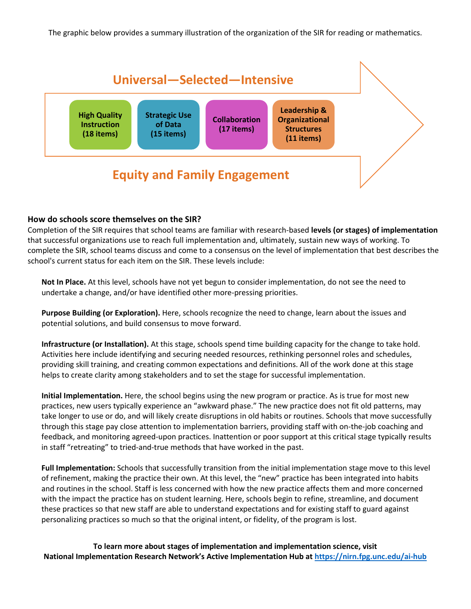The graphic below provides a summary illustration of the organization of the SIR for reading or mathematics.



#### **How do schools score themselves on the SIR?**

Completion of the SIR requires that school teams are familiar with research-based **levels (or stages) of implementation** that successful organizations use to reach full implementation and, ultimately, sustain new ways of working. To complete the SIR, school teams discuss and come to a consensus on the level of implementation that best describes the school's current status for each item on the SIR. These levels include:

**Not In Place.** At this level, schools have not yet begun to consider implementation, do not see the need to undertake a change, and/or have identified other more-pressing priorities.

**Purpose Building (or Exploration).** Here, schools recognize the need to change, learn about the issues and potential solutions, and build consensus to move forward.

**Infrastructure (or Installation).** At this stage, schools spend time building capacity for the change to take hold. Activities here include identifying and securing needed resources, rethinking personnel roles and schedules, providing skill training, and creating common expectations and definitions. All of the work done at this stage helps to create clarity among stakeholders and to set the stage for successful implementation.

**Initial Implementation.** Here, the school begins using the new program or practice. As is true for most new practices, new users typically experience an "awkward phase." The new practice does not fit old patterns, may take longer to use or do, and will likely create disruptions in old habits or routines. Schools that move successfully through this stage pay close attention to implementation barriers, providing staff with on-the-job coaching and feedback, and monitoring agreed-upon practices. Inattention or poor support at this critical stage typically results in staff "retreating" to tried-and-true methods that have worked in the past.

**Full Implementation:** Schools that successfully transition from the initial implementation stage move to this level of refinement, making the practice their own. At this level, the "new" practice has been integrated into habits and routines in the school. Staff is less concerned with how the new practice affects them and more concerned with the impact the practice has on student learning. Here, schools begin to refine, streamline, and document these practices so that new staff are able to understand expectations and for existing staff to guard against personalizing practices so much so that the original intent, or fidelity, of the program is lost.

**To learn more about stages of implementation and implementation science, visit National Implementation Research Network's Active Implementation Hub at<https://nirn.fpg.unc.edu/ai-hub>**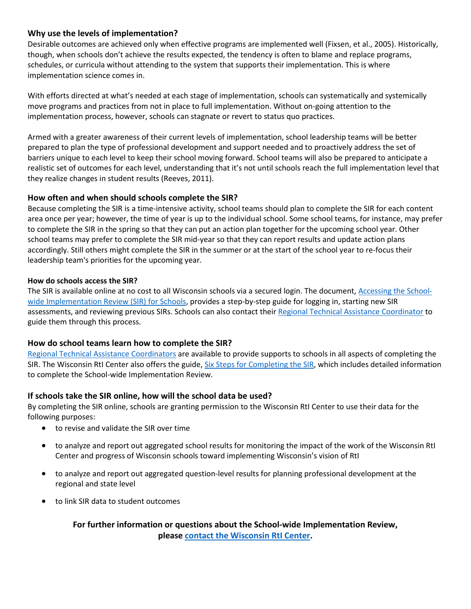## **Why use the levels of implementation?**

Desirable outcomes are achieved only when effective programs are implemented well (Fixsen, et al., 2005). Historically, though, when schools don't achieve the results expected, the tendency is often to blame and replace programs, schedules, or curricula without attending to the system that supports their implementation. This is where implementation science comes in.

With efforts directed at what's needed at each stage of implementation, schools can systematically and systemically move programs and practices from not in place to full implementation. Without on-going attention to the implementation process, however, schools can stagnate or revert to status quo practices.

Armed with a greater awareness of their current levels of implementation, school leadership teams will be better prepared to plan the type of professional development and support needed and to proactively address the set of barriers unique to each level to keep their school moving forward. School teams will also be prepared to anticipate a realistic set of outcomes for each level, understanding that it's not until schools reach the full implementation level that they realize changes in student results (Reeves, 2011).

## **How often and when should schools complete the SIR?**

Because completing the SIR is a time-intensive activity, school teams should plan to complete the SIR for each content area once per year; however, the time of year is up to the individual school. Some school teams, for instance, may prefer to complete the SIR in the spring so that they can put an action plan together for the upcoming school year. Other school teams may prefer to complete the SIR mid-year so that they can report results and update action plans accordingly. Still others might complete the SIR in the summer or at the start of the school year to re-focus their leadership team's priorities for the upcoming year.

#### **How do schools access the SIR?**

The SIR is available online at no cost to all Wisconsin schools via a secured login. The document, [Accessing the School](https://www.wisconsinrticenter.org/wp-content/uploads/2019/01/Accessing-the-SIR-for-schools-f.pdf)[wide Implementation Review \(SIR\) for Schools,](https://www.wisconsinrticenter.org/wp-content/uploads/2019/01/Accessing-the-SIR-for-schools-f.pdf) provides a step-by-step guide for logging in, starting new SIR assessments, and reviewing previous SIRs. Schools can also contact thei[r Regional Technical Assistance Coordinator](https://www.wisconsinrticenter.org/contact/) to guide them through this process.

## **How do school teams learn how to complete the SIR?**

[Regional Technical Assistance Coordinators](https://www.wisconsinrticenter.org/contact/) are available to provide supports to schools in all aspects of completing the SIR. The Wisconsin RtI Center also offers the guide, [Six Steps for Completing the SIR,](https://www.wisconsinrticenter.org/wp-content/uploads/2019/01/six-steps-for-facilitating-the-SIR-f.pdf) which includes detailed information to complete the School-wide Implementation Review.

## **If schools take the SIR online, how will the school data be used?**

By completing the SIR online, schools are granting permission to the Wisconsin RtI Center to use their data for the following purposes:

- to revise and validate the SIR over time
- to analyze and report out aggregated school results for monitoring the impact of the work of the Wisconsin RtI Center and progress of Wisconsin schools toward implementing Wisconsin's vision of RtI
- to analyze and report out aggregated question-level results for planning professional development at the regional and state level
- to link SIR data to student outcomes

**For further information or questions about the School-wide Implementation Review, please [contact the Wisconsin RtI Center.](https://www.wisconsinrticenter.org/contact/)**